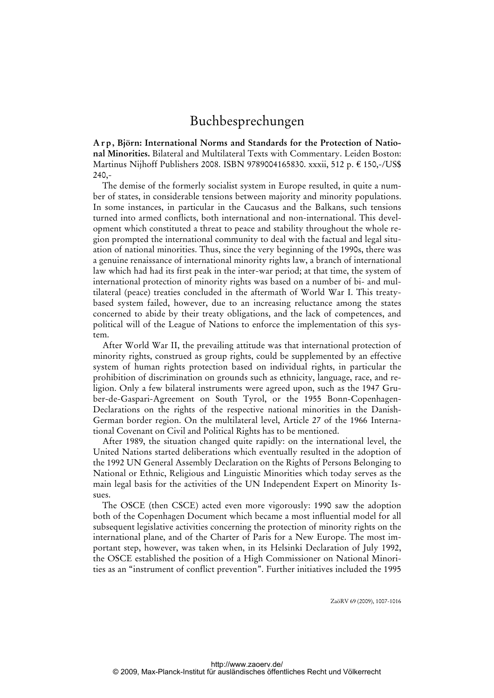**A r p , Björn: International Norms and Standards for the Protection of National Minorities.** Bilateral and Multilateral Texts with Commentary. Leiden Boston: Martinus Nijhoff Publishers 2008. ISBN 9789004165830. xxxii, 512 p. € 150,-/US\$ 240,-

The demise of the formerly socialist system in Europe resulted, in quite a number of states, in considerable tensions between majority and minority populations. In some instances, in particular in the Caucasus and the Balkans, such tensions turned into armed conflicts, both international and non-international. This development which constituted a threat to peace and stability throughout the whole region prompted the international community to deal with the factual and legal situation of national minorities. Thus, since the very beginning of the 1990s, there was a genuine renaissance of international minority rights law, a branch of international law which had had its first peak in the inter-war period; at that time, the system of international protection of minority rights was based on a number of bi- and multilateral (peace) treaties concluded in the aftermath of World War I. This treatybased system failed, however, due to an increasing reluctance among the states concerned to abide by their treaty obligations, and the lack of competences, and political will of the League of Nations to enforce the implementation of this system.

After World War II, the prevailing attitude was that international protection of minority rights, construed as group rights, could be supplemented by an effective system of human rights protection based on individual rights, in particular the prohibition of discrimination on grounds such as ethnicity, language, race, and religion. Only a few bilateral instruments were agreed upon, such as the 1947 Gruber-de-Gaspari-Agreement on South Tyrol, or the 1955 Bonn-Copenhagen-Declarations on the rights of the respective national minorities in the Danish-German border region. On the multilateral level, Article 27 of the 1966 International Covenant on Civil and Political Rights has to be mentioned.

After 1989, the situation changed quite rapidly: on the international level, the United Nations started deliberations which eventually resulted in the adoption of the 1992 UN General Assembly Declaration on the Rights of Persons Belonging to National or Ethnic, Religious and Linguistic Minorities which today serves as the main legal basis for the activities of the UN Independent Expert on Minority Issues.

The OSCE (then CSCE) acted even more vigorously: 1990 saw the adoption both of the Copenhagen Document which became a most influential model for all subsequent legislative activities concerning the protection of minority rights on the international plane, and of the Charter of Paris for a New Europe. The most important step, however, was taken when, in its Helsinki Declaration of July 1992, the OSCE established the position of a High Commissioner on National Minorities as an "instrument of conflict prevention". Further initiatives included the 1995

ZaöRV 69 (2009), 1007-1016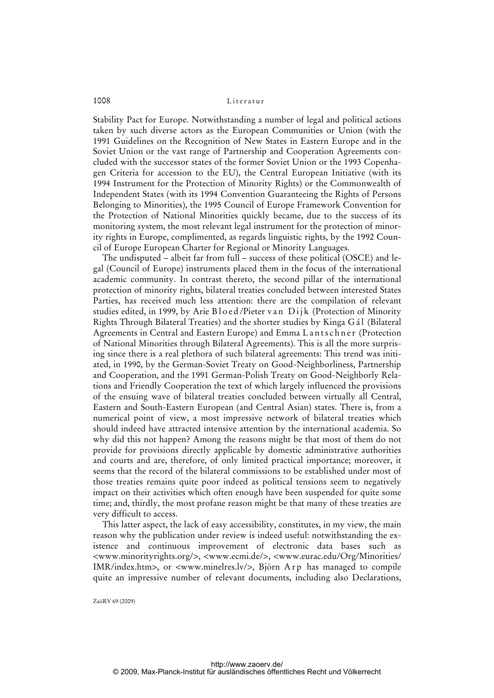Stability Pact for Europe. Notwithstanding a number of legal and political actions taken by such diverse actors as the European Communities or Union (with the 1991 Guidelines on the Recognition of New States in Eastern Europe and in the Soviet Union or the vast range of Partnership and Cooperation Agreements concluded with the successor states of the former Soviet Union or the 1993 Copenhagen Criteria for accession to the EU), the Central European Initiative (with its 1994 Instrument for the Protection of Minority Rights) or the Commonwealth of Independent States (with its 1994 Convention Guaranteeing the Rights of Persons Belonging to Minorities), the 1995 Council of Europe Framework Convention for the Protection of National Minorities quickly became, due to the success of its monitoring system, the most relevant legal instrument for the protection of minority rights in Europe, complimented, as regards linguistic rights, by the 1992 Council of Europe European Charter for Regional or Minority Languages.

The undisputed – albeit far from full – success of these political (OSCE) and legal (Council of Europe) instruments placed them in the focus of the international academic community. In contrast thereto, the second pillar of the international protection of minority rights, bilateral treaties concluded between interested States Parties, has received much less attention: there are the compilation of relevant studies edited, in 1999, by Arie Bloed/Pieter van Dijk (Protection of Minority Rights Through Bilateral Treaties) and the shorter studies by Kinga G á l (Bilateral Agreements in Central and Eastern Europe) and Emma Lantschner (Protection of National Minorities through Bilateral Agreements). This is all the more surprising since there is a real plethora of such bilateral agreements: This trend was initiated, in 1990, by the German-Soviet Treaty on Good-Neighborliness, Partnership and Cooperation, and the 1991 German-Polish Treaty on Good-Neighborly Relations and Friendly Cooperation the text of which largely influenced the provisions of the ensuing wave of bilateral treaties concluded between virtually all Central, Eastern and South-Eastern European (and Central Asian) states. There is, from a numerical point of view, a most impressive network of bilateral treaties which should indeed have attracted intensive attention by the international academia. So why did this not happen? Among the reasons might be that most of them do not provide for provisions directly applicable by domestic administrative authorities and courts and are, therefore, of only limited practical importance; moreover, it seems that the record of the bilateral commissions to be established under most of those treaties remains quite poor indeed as political tensions seem to negatively impact on their activities which often enough have been suspended for quite some time; and, thirdly, the most profane reason might be that many of these treaties are very difficult to access.

This latter aspect, the lack of easy accessibility, constitutes, in my view, the main reason why the publication under review is indeed useful: notwithstanding the existence and continuous improvement of electronic data bases such as <www.minorityrights.org/>, <www.ecmi.de/>, <www.eurac.edu/Org/Minorities/ IMR/index.htm>, or <www.minelres.lv/>, Björn A r p has managed to compile quite an impressive number of relevant documents, including also Declarations,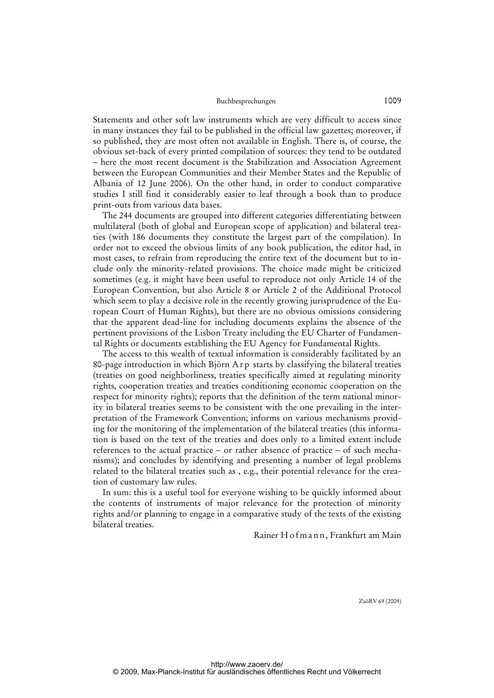Statements and other soft law instruments which are very difficult to access since in many instances they fail to be published in the official law gazettes; moreover, if so published, they are most often not available in English. There is, of course, the obvious set-back of every printed compilation of sources: they tend to be outdated – here the most recent document is the Stabilization and Association Agreement between the European Communities and their Member States and the Republic of Albania of 12 June 2006). On the other hand, in order to conduct comparative studies I still find it considerably easier to leaf through a book than to produce print-outs from various data bases.

The 244 documents are grouped into different categories differentiating between multilateral (both of global and European scope of application) and bilateral treaties (with 186 documents they constitute the largest part of the compilation). In order not to exceed the obvious limits of any book publication, the editor had, in most cases, to refrain from reproducing the entire text of the document but to include only the minority-related provisions. The choice made might be criticized sometimes (e.g. it might have been useful to reproduce not only Article 14 of the European Convention, but also Article 8 or Article 2 of the Additional Protocol which seem to play a decisive role in the recently growing jurisprudence of the European Court of Human Rights), but there are no obvious omissions considering that the apparent dead-line for including documents explains the absence of the pertinent provisions of the Lisbon Treaty including the EU Charter of Fundamental Rights or documents establishing the EU Agency for Fundamental Rights.

The access to this wealth of textual information is considerably facilitated by an 80-page introduction in which Björn A r p starts by classifying the bilateral treaties (treaties on good neighborliness, treaties specifically aimed at regulating minority rights, cooperation treaties and treaties conditioning economic cooperation on the respect for minority rights); reports that the definition of the term national minority in bilateral treaties seems to be consistent with the one prevailing in the interpretation of the Framework Convention; informs on various mechanisms providing for the monitoring of the implementation of the bilateral treaties (this information is based on the text of the treaties and does only to a limited extent include references to the actual practice – or rather absence of practice – of such mechanisms); and concludes by identifying and presenting a number of legal problems related to the bilateral treaties such as , e.g., their potential relevance for the creation of customary law rules.

In sum: this is a useful tool for everyone wishing to be quickly informed about the contents of instruments of major relevance for the protection of minority rights and/or planning to engage in a comparative study of the texts of the existing bilateral treaties.

## Rainer H o f m a n n , Frankfurt am Main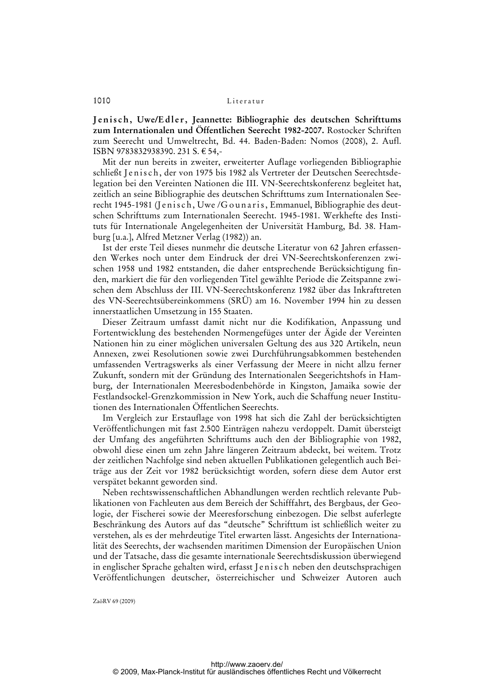Jenisch, Uwe/Edler, Jeannette: Bibliographie des deutschen Schrifttums **zum Internationalen und Öffentlichen Seerecht 1982-2007.** Rostocker Schriften zum Seerecht und Umweltrecht, Bd. 44. Baden-Baden: Nomos (2008), 2. Aufl. ISBN 9783832938390. 231 S. € 54,-

Mit der nun bereits in zweiter, erweiterter Auflage vorliegenden Bibliographie schließt Jenisch, der von 1975 bis 1982 als Vertreter der Deutschen Seerechtsdelegation bei den Vereinten Nationen die III. VN-Seerechtskonferenz begleitet hat, zeitlich an seine Bibliographie des deutschen Schrifttums zum Internationalen Seerecht 1945-1981 (Jenisch, Uwe /Gounaris, Emmanuel, Bibliographie des deutschen Schrifttums zum Internationalen Seerecht. 1945-1981. Werkhefte des Instituts für Internationale Angelegenheiten der Universität Hamburg, Bd. 38. Hamburg [u.a.], Alfred Metzner Verlag (1982)) an.

Ist der erste Teil dieses nunmehr die deutsche Literatur von 62 Jahren erfassenden Werkes noch unter dem Eindruck der drei VN-Seerechtskonferenzen zwischen 1958 und 1982 entstanden, die daher entsprechende Berücksichtigung finden, markiert die für den vorliegenden Titel gewählte Periode die Zeitspanne zwischen dem Abschluss der III. VN-Seerechtskonferenz 1982 über das Inkrafttreten des VN-Seerechtsübereinkommens (SRÜ) am 16. November 1994 hin zu dessen innerstaatlichen Umsetzung in 155 Staaten.

Dieser Zeitraum umfasst damit nicht nur die Kodifikation, Anpassung und Fortentwicklung des bestehenden Normengefüges unter der Ägide der Vereinten Nationen hin zu einer möglichen universalen Geltung des aus 320 Artikeln, neun Annexen, zwei Resolutionen sowie zwei Durchführungsabkommen bestehenden umfassenden Vertragswerks als einer Verfassung der Meere in nicht allzu ferner Zukunft, sondern mit der Gründung des Internationalen Seegerichtshofs in Hamburg, der Internationalen Meeresbodenbehörde in Kingston, Jamaika sowie der Festlandsockel-Grenzkommission in New York, auch die Schaffung neuer Institutionen des Internationalen Öffentlichen Seerechts.

Im Vergleich zur Erstauflage von 1998 hat sich die Zahl der berücksichtigten Veröffentlichungen mit fast 2.500 Einträgen nahezu verdoppelt. Damit übersteigt der Umfang des angeführten Schrifttums auch den der Bibliographie von 1982, obwohl diese einen um zehn Jahre längeren Zeitraum abdeckt, bei weitem. Trotz der zeitlichen Nachfolge sind neben aktuellen Publikationen gelegentlich auch Beiträge aus der Zeit vor 1982 berücksichtigt worden, sofern diese dem Autor erst verspätet bekannt geworden sind.

Neben rechtswissenschaftlichen Abhandlungen werden rechtlich relevante Publikationen von Fachleuten aus dem Bereich der Schifffahrt, des Bergbaus, der Geologie, der Fischerei sowie der Meeresforschung einbezogen. Die selbst auferlegte Beschränkung des Autors auf das "deutsche" Schrifttum ist schließlich weiter zu verstehen, als es der mehrdeutige Titel erwarten lässt. Angesichts der Internationalität des Seerechts, der wachsenden maritimen Dimension der Europäischen Union und der Tatsache, dass die gesamte internationale Seerechtsdiskussion überwiegend in englischer Sprache gehalten wird, erfasst J e n i s c h neben den deutschsprachigen Veröffentlichungen deutscher, österreichischer und Schweizer Autoren auch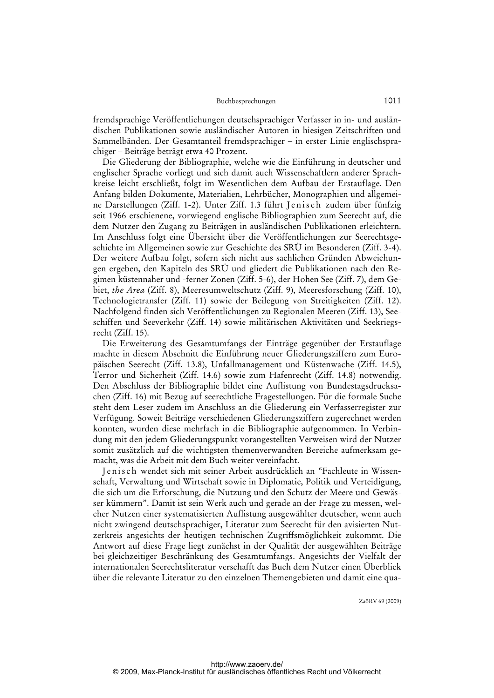fremdsprachige Veröffentlichungen deutschsprachiger Verfasser in in- und ausländischen Publikationen sowie ausländischer Autoren in hiesigen Zeitschriften und Sammelbänden. Der Gesamtanteil fremdsprachiger – in erster Linie englischsprachiger – Beiträge beträgt etwa 40 Prozent.

Die Gliederung der Bibliographie, welche wie die Einführung in deutscher und englischer Sprache vorliegt und sich damit auch Wissenschaftlern anderer Sprachkreise leicht erschließt, folgt im Wesentlichen dem Aufbau der Erstauflage. Den Anfang bilden Dokumente, Materialien, Lehrbücher, Monographien und allgemeine Darstellungen (Ziff. 1-2). Unter Ziff. 1.3 führt Jenisch zudem über fünfzig seit 1966 erschienene, vorwiegend englische Bibliographien zum Seerecht auf, die dem Nutzer den Zugang zu Beiträgen in ausländischen Publikationen erleichtern. Im Anschluss folgt eine Übersicht über die Veröffentlichungen zur Seerechtsgeschichte im Allgemeinen sowie zur Geschichte des SRÜ im Besonderen (Ziff. 3-4). Der weitere Aufbau folgt, sofern sich nicht aus sachlichen Gründen Abweichungen ergeben, den Kapiteln des SRÜ und gliedert die Publikationen nach den Regimen küstennaher und -ferner Zonen (Ziff. 5-6), der Hohen See (Ziff. 7), dem Gebiet, *the Area* (Ziff. 8), Meeresumweltschutz (Ziff. 9), Meeresforschung (Ziff. 10), Technologietransfer (Ziff. 11) sowie der Beilegung von Streitigkeiten (Ziff. 12). Nachfolgend finden sich Veröffentlichungen zu Regionalen Meeren (Ziff. 13), Seeschiffen und Seeverkehr (Ziff. 14) sowie militärischen Aktivitäten und Seekriegsrecht (Ziff. 15).

Die Erweiterung des Gesamtumfangs der Einträge gegenüber der Erstauflage machte in diesem Abschnitt die Einführung neuer Gliederungsziffern zum Europäischen Seerecht (Ziff. 13.8), Unfallmanagement und Küstenwache (Ziff. 14.5), Terror und Sicherheit (Ziff. 14.6) sowie zum Hafenrecht (Ziff. 14.8) notwendig. Den Abschluss der Bibliographie bildet eine Auflistung von Bundestagsdrucksachen (Ziff. 16) mit Bezug auf seerechtliche Fragestellungen. Für die formale Suche steht dem Leser zudem im Anschluss an die Gliederung ein Verfasserregister zur Verfügung. Soweit Beiträge verschiedenen Gliederungsziffern zugerechnet werden konnten, wurden diese mehrfach in die Bibliographie aufgenommen. In Verbindung mit den jedem Gliederungspunkt vorangestellten Verweisen wird der Nutzer somit zusätzlich auf die wichtigsten themenverwandten Bereiche aufmerksam gemacht, was die Arbeit mit dem Buch weiter vereinfacht.

Jenisch wendet sich mit seiner Arbeit ausdrücklich an "Fachleute in Wissenschaft, Verwaltung und Wirtschaft sowie in Diplomatie, Politik und Verteidigung, die sich um die Erforschung, die Nutzung und den Schutz der Meere und Gewässer kümmern". Damit ist sein Werk auch und gerade an der Frage zu messen, welcher Nutzen einer systematisierten Auflistung ausgewählter deutscher, wenn auch nicht zwingend deutschsprachiger, Literatur zum Seerecht für den avisierten Nutzerkreis angesichts der heutigen technischen Zugriffsmöglichkeit zukommt. Die Antwort auf diese Frage liegt zunächst in der Qualität der ausgewählten Beiträge bei gleichzeitiger Beschränkung des Gesamtumfangs. Angesichts der Vielfalt der internationalen Seerechtsliteratur verschafft das Buch dem Nutzer einen Überblick über die relevante Literatur zu [den einzelnen Themengebieten und damit eine qua-](qua-http://www.zaoerv.de/)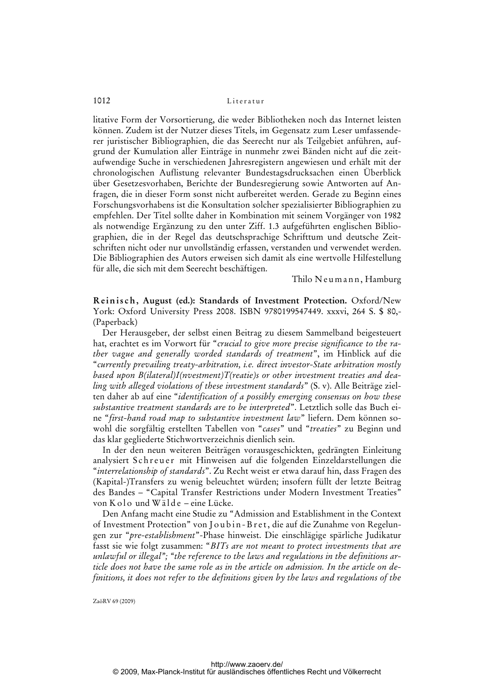litative Form der Vorsortierung, die weder Bibliotheken noch das Internet leisten können. Zudem ist der Nutzer dieses Titels, im Gegensatz zum Leser umfassenderer juristischer Bibliographien, die das Seerecht nur als Teilgebiet anführen, aufgrund der Kumulation aller Einträge in nunmehr zwei Bänden nicht auf die zeitaufwendige Suche in verschiedenen Jahresregistern angewiesen und erhält mit der chronologischen Auflistung relevanter Bundestagsdrucksachen einen Überblick über Gesetzesvorhaben, Berichte der Bundesregierung sowie Antworten auf Anfragen, die in dieser Form sonst nicht aufbereitet werden. Gerade zu Beginn eines Forschungsvorhabens ist die Konsultation solcher spezialisierter Bibliographien zu empfehlen. Der Titel sollte daher in Kombination mit seinem Vorgänger von 1982 als notwendige Ergänzung zu den unter Ziff. 1.3 aufgeführten englischen Bibliographien, die in der Regel das deutschsprachige Schrifttum und deutsche Zeitschriften nicht oder nur unvollständig erfassen, verstanden und verwendet werden. Die Bibliographien des Autors erweisen sich damit als eine wertvolle Hilfestellung für alle, die sich mit dem Seerecht beschäftigen.

Thilo Neumann, Hamburg

**Reinisch, August (ed.): Standards of Investment Protection.** Oxford/New York: Oxford University Press 2008. ISBN 9780199547449. xxxvi, 264 S. \$ 80,- (Paperback)

Der Herausgeber, der selbst einen Beitrag zu diesem Sammelband beigesteuert hat, erachtet es im Vorwort für "*crucial to give more precise significance to the rather vague and generally worded standards of treatment*", im Hinblick auf die "*currently prevailing treaty-arbitration, i.e. direct investor-State arbitration mostly based upon B(ilateral)I(nvestment)T(reatie)s or other investment treaties and dealing with alleged violations of these investment standards*" (S. v). Alle Beiträge zielten daher ab auf eine "*identification of a possibly emerging consensus on how these substantive treatment standards are to be interpreted*". Letztlich solle das Buch eine "*first-hand road map to substantive investment law*" liefern. Dem können sowohl die sorgfältig erstellten Tabellen von "*cases*" und "*treaties*" zu Beginn und das klar gegliederte Stichwortverzeichnis dienlich sein.

In der den neun weiteren Beiträgen vorausgeschickten, gedrängten Einleitung analysiert Schreuer mit Hinweisen auf die folgenden Einzeldarstellungen die "*interrelationship of standards*". Zu Recht weist er etwa darauf hin, dass Fragen des (Kapital-)Transfers zu wenig beleuchtet würden; insofern füllt der letzte Beitrag des Bandes – "Capital Transfer Restrictions under Modern Investment Treaties" von K olo und W älde – eine Lücke.

Den Anfang macht eine Studie zu "Admission and Establishment in the Context of Investment Protection" von Joubin-Bret, die auf die Zunahme von Regelungen zur "*pre-establishment*"-Phase hinweist. Die einschlägige spärliche Judikatur fasst sie wie folgt zusammen: "*BITs are not meant to protect investments that are unlawful or illegal"; "the reference to the laws and regulations in the definitions article does not have the same role as in the article on admission. In the article on definitions, it does not refer to the definitions given by the laws and regulations of the*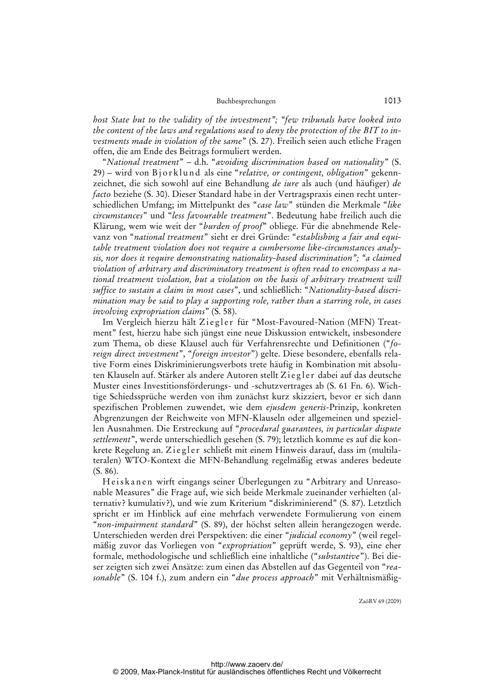*host State but to the validity of the investment"; "few tribunals have looked into the content of the laws and regulations used to deny the protection of the BIT to investments made in violation of the same*" (S. 27). Freilich seien auch etliche Fragen offen, die am Ende des Beitrags formuliert werden.

"*National treatment*" – d.h. "*avoiding discrimination based on nationality*" (S. 29) – wird von Bjorklund als eine "relative, or contingent, obligation" gekennzeichnet, die sich sowohl auf eine Behandlung *de iure* als auch (und häufiger) *de facto* beziehe (S. 30). Dieser Standard habe in der Vertragspraxis einen recht unterschiedlichen Umfang; im Mittelpunkt des "*case law*" stünden die Merkmale "*like circumstances*" und "*less favourable treatment*". Bedeutung habe freilich auch die Klärung, wem wie weit der "*burden of proof*" obliege. Für die abnehmende Relevanz von "*national treatment*" sieht er drei Gründe: "*establishing a fair and equitable treatment violation does not require a cumbersome like-circumstances analysis, nor does it require demonstrating nationality-based discrimination"; "a claimed violation of arbitrary and discriminatory treatment is often read to encompass a national treatment violation, but a violation on the basis of arbitrary treatment will suffice to sustain a claim in most cases*", und schließlich: "*Nationality-based discrimination may be said to play a supporting role, rather than a starring role, in cases involving expropriation claims*" (S. 58).

Im Vergleich hierzu hält Ziegler für "Most-Favoured-Nation (MFN) Treatment" fest, hierzu habe sich jüngst eine neue Diskussion entwickelt, insbesondere zum Thema, ob diese Klausel auch für Verfahrensrechte und Definitionen ("*foreign direct investment*", "*foreign investor*") gelte. Diese besondere, ebenfalls relative Form eines Diskriminierungsverbots trete häufig in Kombination mit absoluten Klauseln auf. Stärker als andere Autoren stellt Ziegler dabei auf das deutsche Muster eines Investitionsförderungs- und -schutzvertrages ab (S. 61 Fn. 6). Wichtige Schiedssprüche werden von ihm zunächst kurz skizziert, bevor er sich dann spezifischen Problemen zuwendet, wie dem *ejusdem generis*-Prinzip, konkreten Abgrenzungen der Reichweite von MFN-Klauseln oder allgemeinen und speziellen Ausnahmen. Die Erstreckung auf "*procedural guarantees, in particular dispute settlement*", werde unterschiedlich gesehen (S. 79); letztlich komme es auf die konkrete Regelung an. Zi egler schließt mit einem Hinweis darauf, dass im (multilateralen) WTO-Kontext die MFN-Behandlung regelmäßig etwas anderes bedeute (S. 86).

He is k a n e n wirft eingangs seiner Überlegungen zu "Arbitrary and Unreasonable Measures" die Frage auf, wie sich beide Merkmale zueinander verhielten (alternativ? kumulativ?), und wie zum Kriterium "diskriminierend" (S. 87). Letztlich spricht er im Hinblick auf eine mehrfach verwendete Formulierung von einem "*non-impairment standard*" (S. 89), der höchst selten allein herangezogen werde. Unterschieden werden drei Perspektiven: die einer "*judicial economy*" (weil regelmäßig zuvor das Vorliegen von "*expropriation*" geprüft werde, S. 93), eine eher formale, methodologische und schließlich eine inhaltliche ("*substantive*"). Bei dieser zeigten sich zwei Ansätze: zum einen das Abstellen auf das Gegenteil von "*reasonable*" (S. 104 f.), zum andern ein "*due process approach*[" mit Verhältnismäßig-](Verh�ltnism��ig-http://Za�RV)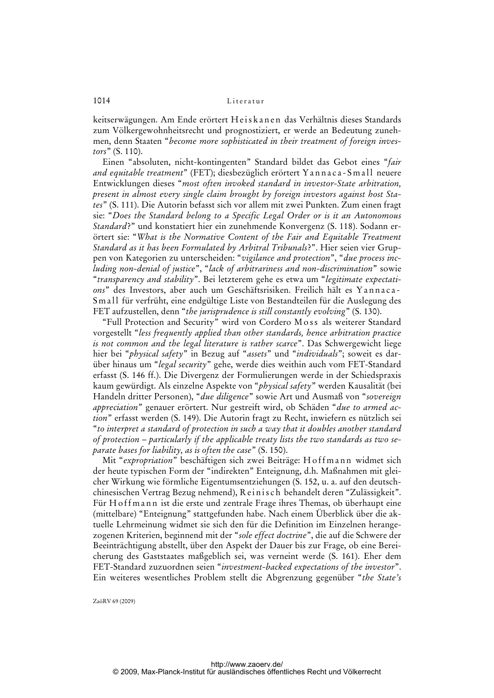keitserwägungen. Am Ende erörtert He is kan en das Verhältnis dieses Standards zum Völkergewohnheitsrecht und prognostiziert, er werde an Bedeutung zunehmen, denn Staaten "*become more sophisticated in their treatment of foreign investors*" (S. 110).

Einen "absoluten, nicht-kontingenten" Standard bildet das Gebot eines "*fair and equitable treatment*" (FET); diesbezüglich erörtert Yannaca-Small neuere Entwicklungen dieses "*most often invoked standard in investor-State arbitration, present in almost every single claim brought by foreign investors against host States*" (S. 111). Die Autorin befasst sich vor allem mit zwei Punkten. Zum einen fragt sie: "*Does the Standard belong to a Specific Legal Order or is it an Autonomous Standard*?" und konstatiert hier ein zunehmende Konvergenz (S. 118). Sodann erörtert sie: "*What is the Normative Content of the Fair and Equitable Treatment Standard as it has been Formulated by Arbitral Tribunals*?". Hier seien vier Gruppen von Kategorien zu unterscheiden: "*vigilance and protection*", "*due process including non-denial of justice*", "*lack of arbitrariness and non-discrimination*" sowie "*transparency and stability*". Bei letzterem gehe es etwa um "*legitimate expectations*" des Investors, aber auch um Geschäftsrisiken. Freilich hält es Y a n n a c a - Small für verfrüht, eine endgültige Liste von Bestandteilen für die Auslegung des FET aufzustellen, denn "*the jurisprudence is still constantly evolving*" (S. 130).

"Full Protection and Security" wird von Cordero Moss als weiterer Standard vorgestellt "*less frequently applied than other standards, hence arbitration practice is not common and the legal literature is rather scarce*". Das Schwergewicht liege hier bei "*physical safety*" in Bezug auf "*assets*" und "*individuals*"; soweit es darüber hinaus um "*legal security*" gehe, werde dies weithin auch vom FET-Standard erfasst (S. 146 ff.). Die Divergenz der Formulierungen werde in der Schiedspraxis kaum gewürdigt. Als einzelne Aspekte von "*physical safety*" werden Kausalität (bei Handeln dritter Personen), "*due diligence*" sowie Art und Ausmaß von "*sovereign appreciation*" genauer erörtert. Nur gestreift wird, ob Schäden "*due to armed action*" erfasst werden (S. 149). Die Autorin fragt zu Recht, inwiefern es nützlich sei "*to interpret a standard of protection in such a way that it doubles another standard of protection – particularly if the applicable treaty lists the two standards as two separate bases for liability, as is often the case*" (S. 150).

Mit "*expropriation*" beschäftigen sich zwei Beiträge: Hoffmann widmet sich der heute typischen Form der "indirekten" Enteignung, d.h. Maßnahmen mit gleicher Wirkung wie förmliche Eigentumsentziehungen (S. 152, u. a. auf den deutschchinesischen Vertrag Bezug nehmend), R e i n i s c h behandelt deren "Zulässigkeit". Für H o f f m a n n ist die erste und zentrale Frage ihres Themas, ob überhaupt eine (mittelbare) "Enteignung" stattgefunden habe. Nach einem Überblick über die aktuelle Lehrmeinung widmet sie sich den für die Definition im Einzelnen herangezogenen Kriterien, beginnend mit der "*sole effect doctrine*", die auf die Schwere der Beeinträchtigung abstellt, über den Aspekt der Dauer bis zur Frage, ob eine Bereicherung des Gaststaates maßgeblich sei, was verneint werde (S. 161). Eher dem FET-Standard zuzuordnen seien "*investment-backed expectations of the investor*". Ein weiteres wesentliches Problem stellt die Abgrenzung gegenüber "*the State's*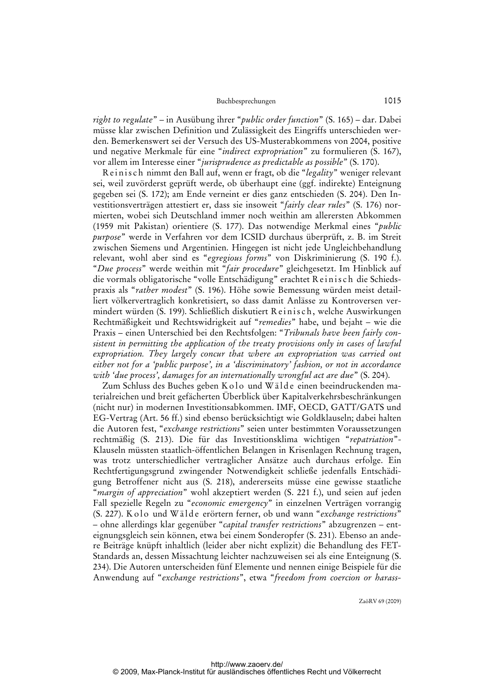*right to regulate*" – in Ausübung ihrer "*public order function*" (S. 165) – dar. Dabei müsse klar zwischen Definition und Zulässigkeit des Eingriffs unterschieden werden. Bemerkenswert sei der Versuch des US-Musterabkommens von 2004, positive und negative Merkmale für eine "*indirect expropriation*" zu formulieren (S. 167), vor allem im Interesse einer "*jurisprudence as predictable as possible*" (S. 170).

Reinisch nimmt den Ball auf, wenn er fragt, ob die "legality" weniger relevant sei, weil zuvörderst geprüft werde, ob überhaupt eine (ggf. indirekte) Enteignung gegeben sei (S. 172); am Ende verneint er dies ganz entschieden (S. 204). Den Investitionsverträgen attestiert er, dass sie insoweit "*fairly clear rules*" (S. 176) normierten, wobei sich Deutschland immer noch weithin am allerersten Abkommen (1959 mit Pakistan) orientiere (S. 177). Das notwendige Merkmal eines "*public purpose*" werde in Verfahren vor dem ICSID durchaus überprüft, z. B. im Streit zwischen Siemens und Argentinien. Hingegen ist nicht jede Ungleichbehandlung relevant, wohl aber sind es "*egregious forms*" von Diskriminierung (S. 190 f.). "*Due process*" werde weithin mit "*fair procedure*" gleichgesetzt. Im Hinblick auf die vormals obligatorische "volle Entschädigung" erachtet Reinisch die Schiedspraxis als "*rather modest*" (S. 196). Höhe sowie Bemessung würden meist detailliert völkervertraglich konkretisiert, so dass damit Anlässe zu Kontroversen vermindert würden (S. 199). Schließlich diskutiert Reinisch, welche Auswirkungen Rechtmäßigkeit und Rechtswidrigkeit auf "*remedies*" habe, und bejaht – wie die Praxis – einen Unterschied bei den Rechtsfolgen: "*Tribunals have been fairly consistent in permitting the application of the treaty provisions only in cases of lawful expropriation. They largely concur that where an expropriation was carried out either not for a 'public purpose', in a 'discriminatory' fashion, or not in accordance with 'due process', damages for an internationally wrongful act are due*" (S. 204).

Zum Schluss des Buches geben K o l o und W älde einen beeindruckenden materialreichen und breit gefächerten Überblick über Kapitalverkehrsbeschränkungen (nicht nur) in modernen Investitionsabkommen. IMF, OECD, GATT/GATS und EG-Vertrag (Art. 56 ff.) sind ebenso berücksichtigt wie Goldklauseln; dabei halten die Autoren fest, "*exchange restrictions*" seien unter bestimmten Voraussetzungen rechtmäßig (S. 213). Die für das Investitionsklima wichtigen "*repatriation*"- Klauseln müssten staatlich-öffentlichen Belangen in Krisenlagen Rechnung tragen, was trotz unterschiedlicher vertraglicher Ansätze auch durchaus erfolge. Ein Rechtfertigungsgrund zwingender Notwendigkeit schließe jedenfalls Entschädigung Betroffener nicht aus (S. 218), andererseits müsse eine gewisse staatliche "*margin of appreciation*" wohl akzeptiert werden (S. 221 f.), und seien auf jeden Fall spezielle Regeln zu "*economic emergency*" in einzelnen Verträgen vorrangig (S. 227). K olo und W älde erörtern ferner, ob und wann "*exchange restrictions*" – ohne allerdings klar gegenüber "*capital transfer restrictions*" abzugrenzen – enteignungsgleich sein können, etwa bei einem Sonderopfer (S. 231). Ebenso an andere Beiträge knüpft inhaltlich (leider aber nicht explizit) die Behandlung des FET-Standards an, dessen Missachtung leichter nachzuweisen sei als eine Enteignung (S. 234). Die Autoren unterscheiden fünf Elemente und nennen einige Beispiele für die Anwendung auf "*exchange restrictions*", etwa "*[freedom from coercion or harass-](harass-http://Za�RV)*